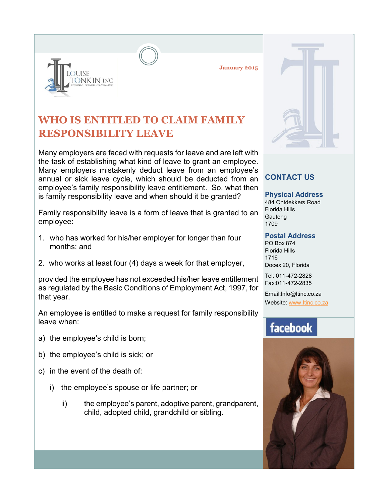**January 2015**



Many employers are faced with requests for leave and are left with the task of establishing what kind of leave to grant an employee. Many employers mistakenly deduct leave from an employee's annual or sick leave cycle, which should be deducted from an employee's family responsibility leave entitlement. So, what then is family responsibility leave and when should it be granted?

Family responsibility leave is a form of leave that is granted to an employee:

- 1. who has worked for his/her employer for longer than four months; and
- 2. who works at least four (4) days a week for that employer,

provided the employee has not exceeded his/her leave entitlement as regulated by the Basic Conditions of Employment Act, 1997, for that year.

An employee is entitled to make a request for family responsibility leave when:

a) the employee's child is born;

**OUISE** 

ONKIN INC

- b) the employee's child is sick; or
- c) in the event of the death of:
	- i) the employee's spouse or life partner; or
		- ii) the employee's parent, adoptive parent, grandparent, child, adopted child, grandchild or sibling.



## **CONTACT US**

**Physical Address**

484 Ontdekkers Road Florida Hills **Gauteng** 1709

## **Postal Address**

PO Box 874 Florida Hills 1716 Docex 20, Florida

Tel: 011-472-2828 Fax:011-472-2835

Email:Info@ltinc.co.za Website: www.ltinc.co.za

## facebook